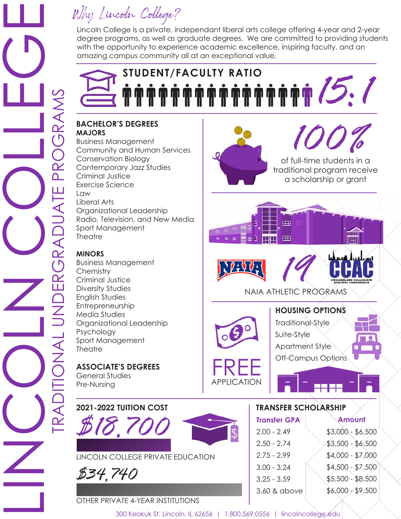### Why Lincoln College?

Lincoln College is a private, independant liberal arts college offering 4-year and 2-year degree programs, as well as graduate degrees. We are committed to providing students with the opportunity to experience academic excellence, inspiring faculty, and an amazing campus community all at an exceptional value.

# STUDENT/FACULTY RATIO<br>**M M M M M M M M M M M M M M M / 2:**1

#### **BACHELOR'S DEGREES MAJORS**

Business Management Community and Human Services Conservation Biology Contemporary Jazz Studies Criminal Justice Exercise Science Law Liberal Arts Organizational Leadership Radio, Television, and New Media Sport Management **Theatre** 

#### **MINORS**

Business Management **Chemistry** Criminal Justice Diversity Studies English Studies Entrepreneurship Media Studies Organizational Leadership Psychology Sport Management **Theatre** 

**ASSOCIATE'S DEGREES** General Studies Pre-Nursing





#### OTHER PRIVATE 4-YEAR INSTITUTIONS



of full-time students in a traditional program receive a scholarship or grant



 $\blacksquare$ 



परिप्रा

NAIA ATHLETIC PROGRAMS

œ

**HH** 

#### **HOUSING OPTIONS**

FREE

APPLICATION

Traditional-Style Suite-Style Apartment Style Off-Campus Options

#### **TRANSFER SCHOLARSHIP**

| <b>Transfer GPA</b> | Amount            |
|---------------------|-------------------|
| $2.00 - 2.49$       | $$3,000 - $6,500$ |
| $2.50 - 2.74$       | $$3,500 - $6,500$ |
| $2.75 - 2.99$       | $$4,000 - $7,000$ |
| $3.00 - 3.24$       | $$4,500 - $7,500$ |
| $3.25 - 3.59$       | $$5,500 - $8,500$ |
| 3.60 & above        | $$6,000 - $9,500$ |
|                     |                   |

300 Keokuk St. Lincoln, IL 62656 | 1.800.569.0556 | lincolncollege.edu